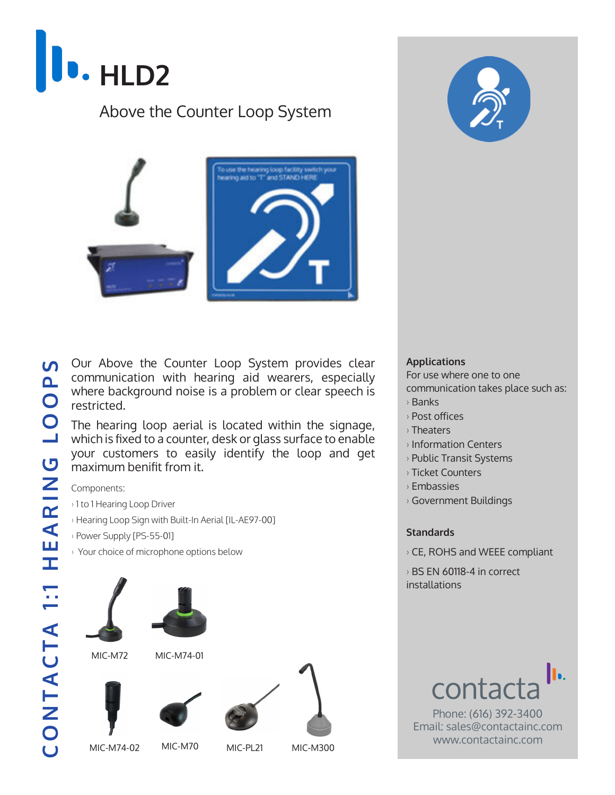

## Above the Counter Loop System



Our Above the Counter Loop System provides clear  $\mathbf{v}$ communication with hearing aid wearers, especially where background noise is a problem or clear speech is restricted.

The hearing loop aerial is located within the signage, which is fixed to a counter, desk or glass surface to enable your customers to easily identify the loop and get maximum benifit from it.

#### Components:

- › 1 to 1 Hearing Loop Driver
- › Hearing Loop Sign with Built-In Aerial [IL-AE97-00]
- › Power Supply [PS-55-01]
- › Your choice of microphone options below













MIC-M74-02 MIC-M70 MIC-PL21 MIC-M300

- 
- 



#### **Applications**

For use where one to one communication takes place such as:

- › Banks
- › Post offices
- › Theaters
- › Information Centers
- › Public Transit Systems
- › Ticket Counters
- › Embassies
- › Government Buildings

### **Standards**

› CE, ROHS and WEEE compliant

› BS EN 60118-4 in correct installations



Phone: (616) 392-3400 Email: sales@contactainc.com www.contactainc.com

**CONTACTA 1:1 HEARING LOOPS** a<br>O  $\bigcirc$  $\overline{\phantom{0}}$ ARING …<br>エ CONTACTA 1:1